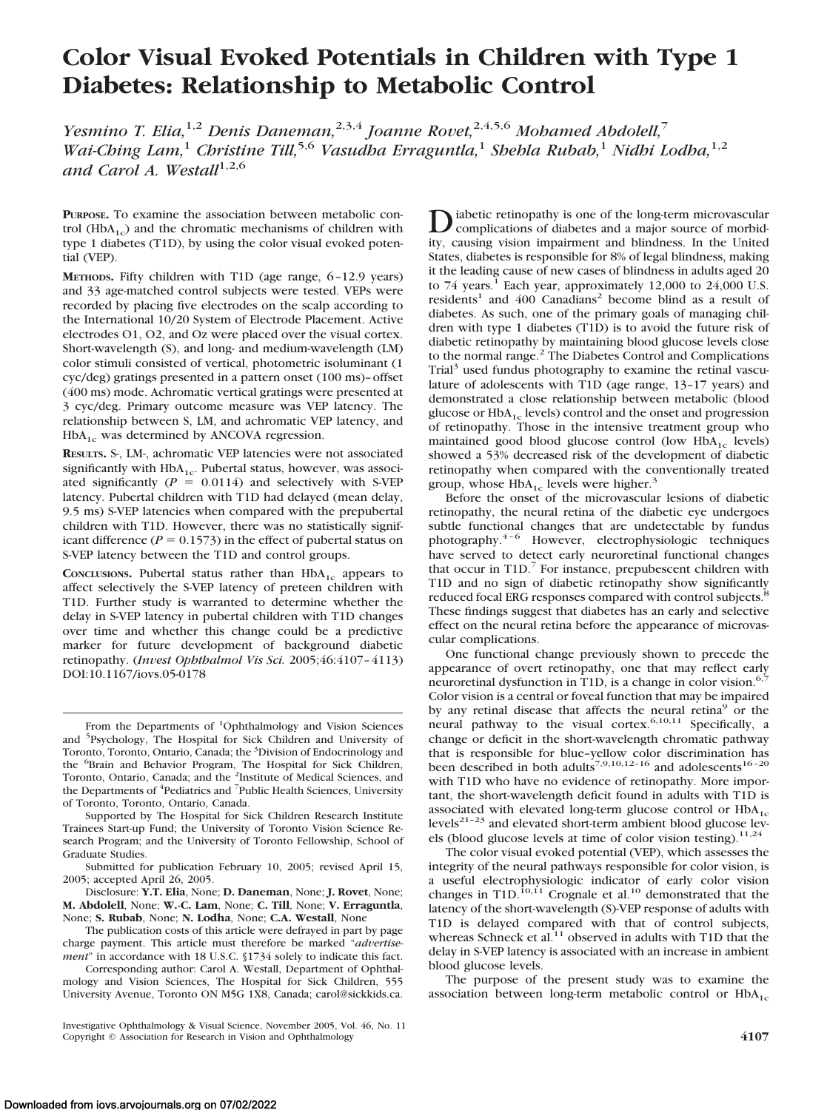# **Color Visual Evoked Potentials in Children with Type 1 Diabetes: Relationship to Metabolic Control**

*Yesmino T. Elia,*1,2 *Denis Daneman,*2,3,4 *Joanne Rovet,*2,4,5,6 *Mohamed Abdolell,*<sup>7</sup> *Wai-Ching Lam,*<sup>1</sup> *Christine Till,*5,6 *Vasudha Erraguntla,*<sup>1</sup> *Shehla Rubab,*<sup>1</sup> *Nidhi Lodha,*1,2 and Carol A. Westall<sup>1,2,6</sup>

**PURPOSE.** To examine the association between metabolic control ( $HbA_{1c}$ ) and the chromatic mechanisms of children with type 1 diabetes (T1D), by using the color visual evoked potential (VEP).

**METHODS.** Fifty children with T1D (age range, 6–12.9 years) and 33 age-matched control subjects were tested. VEPs were recorded by placing five electrodes on the scalp according to the International 10/20 System of Electrode Placement. Active electrodes O1, O2, and Oz were placed over the visual cortex. Short-wavelength (S), and long- and medium-wavelength (LM) color stimuli consisted of vertical, photometric isoluminant (1 cyc/deg) gratings presented in a pattern onset (100 ms)–offset (400 ms) mode. Achromatic vertical gratings were presented at 3 cyc/deg. Primary outcome measure was VEP latency. The relationship between S, LM, and achromatic VEP latency, and  $HbA_{1c}$  was determined by ANCOVA regression.

**RESULTS.** S-, LM-, achromatic VEP latencies were not associated significantly with  $HbA_{1c}$ . Pubertal status, however, was associated significantly  $(P = 0.0114)$  and selectively with S-VEP latency. Pubertal children with T1D had delayed (mean delay, 9.5 ms) S-VEP latencies when compared with the prepubertal children with T1D. However, there was no statistically significant difference ( $P = 0.1573$ ) in the effect of pubertal status on S-VEP latency between the T1D and control groups.

**CONCLUSIONS.** Pubertal status rather than  $HbA_{1c}$  appears to affect selectively the S-VEP latency of preteen children with T1D. Further study is warranted to determine whether the delay in S-VEP latency in pubertal children with T1D changes over time and whether this change could be a predictive marker for future development of background diabetic retinopathy. (*Invest Ophthalmol Vis Sci.* 2005;46:4107–4113) DOI:10.1167/iovs.05-0178

Supported by The Hospital for Sick Children Research Institute Trainees Start-up Fund; the University of Toronto Vision Science Research Program; and the University of Toronto Fellowship, School of Graduate Studies.

Submitted for publication February 10, 2005; revised April 15, 2005; accepted April 26, 2005.

Disclosure: **Y.T. Elia**, None; **D. Daneman**, None; **J. Rovet**, None; **M. Abdolell**, None; **W.-C. Lam**, None; **C. Till**, None; **V. Erraguntla**, None; **S. Rubab**, None; **N. Lodha**, None; **C.A. Westall**, None

The publication costs of this article were defrayed in part by page charge payment. This article must therefore be marked "*advertisement*" in accordance with 18 U.S.C. §1734 solely to indicate this fact.

Corresponding author: Carol A. Westall, Department of Ophthalmology and Vision Sciences, The Hospital for Sick Children, 555 University Avenue, Toronto ON M5G 1X8, Canada; carol@sickkids.ca.

Diabetic retinopathy is one of the long-term microvascular<br>complications of diabetes and a major source of morbidity, causing vision impairment and blindness. In the United States, diabetes is responsible for 8% of legal blindness, making it the leading cause of new cases of blindness in adults aged 20 to 74 years.<sup>1</sup> Each year, approximately 12,000 to 24,000 U.S.  $residents<sup>1</sup>$  and 400 Canadians<sup>2</sup> become blind as a result of diabetes. As such, one of the primary goals of managing children with type 1 diabetes (T1D) is to avoid the future risk of diabetic retinopathy by maintaining blood glucose levels close to the normal range.<sup>2</sup> The Diabetes Control and Complications Trial<sup>3</sup> used fundus photography to examine the retinal vasculature of adolescents with T1D (age range, 13–17 years) and demonstrated a close relationship between metabolic (blood glucose or  $HbA_{1c}$  levels) control and the onset and progression of retinopathy. Those in the intensive treatment group who maintained good blood glucose control (low  $HbA_{1c}$  levels) showed a 53% decreased risk of the development of diabetic retinopathy when compared with the conventionally treated group, whose  $HbA_{1c}$  levels were higher.<sup>3</sup>

Before the onset of the microvascular lesions of diabetic retinopathy, the neural retina of the diabetic eye undergoes subtle functional changes that are undetectable by fundus photography.4–6 However, electrophysiologic techniques have served to detect early neuroretinal functional changes that occur in  $T1D$ .<sup>7</sup> For instance, prepubescent children with T1D and no sign of diabetic retinopathy show significantly reduced focal ERG responses compared with control subjects.<sup>8</sup> These findings suggest that diabetes has an early and selective effect on the neural retina before the appearance of microvascular complications.

One functional change previously shown to precede the appearance of overt retinopathy, one that may reflect early neuroretinal dysfunction in T1D, is a change in color vision.<sup>6</sup> Color vision is a central or foveal function that may be impaired by any retinal disease that affects the neural retina<sup>9</sup> or the neural pathway to the visual cortex.<sup>6,10,11</sup> Specifically, a change or deficit in the short-wavelength chromatic pathway that is responsible for blue-yellow color discrimination has been described in both adults<sup>7,9,10,12–16</sup> and adolescents<sup>16–20</sup> with T1D who have no evidence of retinopathy. More important, the short-wavelength deficit found in adults with T1D is associated with elevated long-term glucose control or  $HbA_{1c}$ levels $2^{1-23}$  and elevated short-term ambient blood glucose levels (blood glucose levels at time of color vision testing).<sup>11,24</sup>

The color visual evoked potential (VEP), which assesses the integrity of the neural pathways responsible for color vision, is a useful electrophysiologic indicator of early color vision changes in T1D.<sup>10,11</sup> Crognale et al.<sup>10</sup> demonstrated that the latency of the short-wavelength (S)-VEP response of adults with T1D is delayed compared with that of control subjects, whereas Schneck et al. $^{11}$  observed in adults with T1D that the delay in S-VEP latency is associated with an increase in ambient blood glucose levels.

The purpose of the present study was to examine the association between long-term metabolic control or  $HbA_{1c}$ 

From the Departments of <sup>1</sup>Ophthalmology and Vision Sciences and <sup>5</sup> Psychology, The Hospital for Sick Children and University of Toronto, Toronto, Ontario, Canada; the <sup>3</sup>Division of Endocrinology and the <sup>6</sup>Brain and Behavior Program, The Hospital for Sick Children, Toronto, Ontario, Canada; and the <sup>2</sup>Institute of Medical Sciences, and the Departments of <sup>4</sup>Pediatrics and <sup>7</sup>Public Health Sciences, University of Toronto, Toronto, Ontario, Canada.

Investigative Ophthalmology & Visual Science, November 2005, Vol. 46, No. 11 Copyright © Association for Research in Vision and Ophthalmology **4107**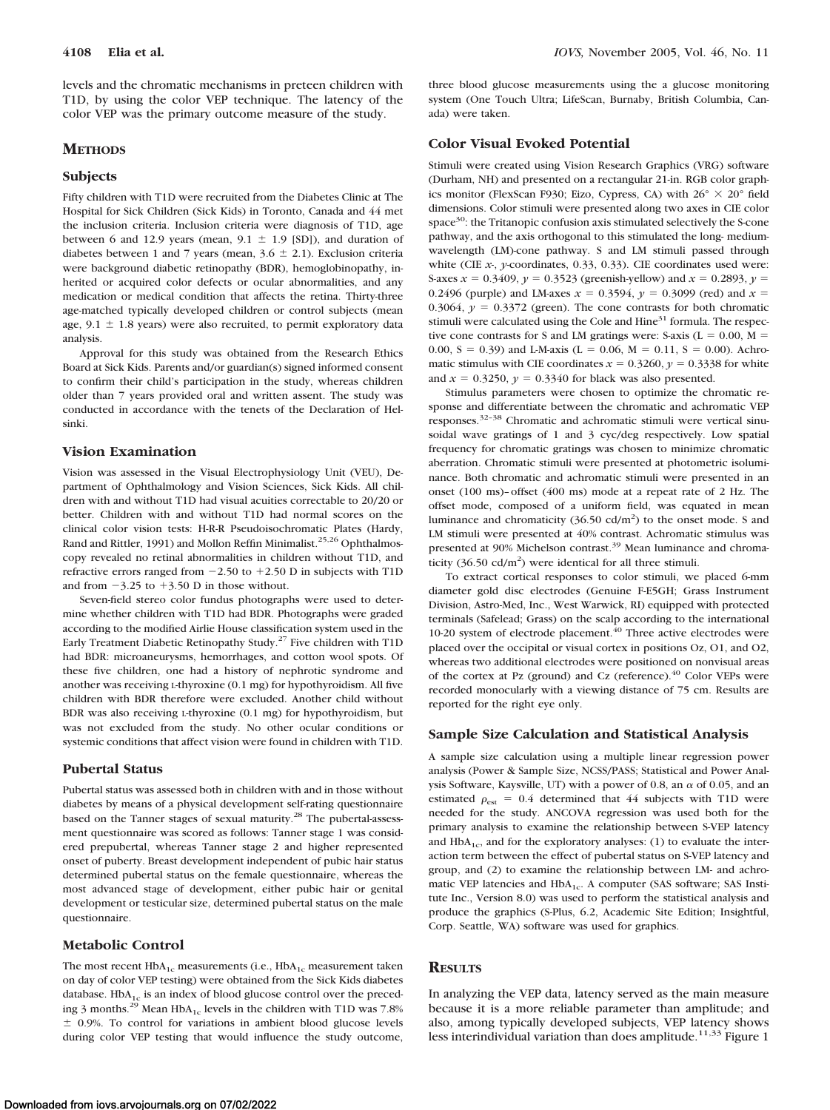levels and the chromatic mechanisms in preteen children with T1D, by using the color VEP technique. The latency of the color VEP was the primary outcome measure of the study.

# **METHODS**

#### **Subjects**

Fifty children with T1D were recruited from the Diabetes Clinic at The Hospital for Sick Children (Sick Kids) in Toronto, Canada and 44 met the inclusion criteria. Inclusion criteria were diagnosis of T1D, age between 6 and 12.9 years (mean,  $9.1 \pm 1.9$  [SD]), and duration of diabetes between 1 and 7 years (mean,  $3.6 \pm 2.1$ ). Exclusion criteria were background diabetic retinopathy (BDR), hemoglobinopathy, inherited or acquired color defects or ocular abnormalities, and any medication or medical condition that affects the retina. Thirty-three age-matched typically developed children or control subjects (mean age,  $9.1 \pm 1.8$  years) were also recruited, to permit exploratory data analysis.

Approval for this study was obtained from the Research Ethics Board at Sick Kids. Parents and/or guardian(s) signed informed consent to confirm their child's participation in the study, whereas children older than 7 years provided oral and written assent. The study was conducted in accordance with the tenets of the Declaration of Helsinki.

#### **Vision Examination**

Vision was assessed in the Visual Electrophysiology Unit (VEU), Department of Ophthalmology and Vision Sciences, Sick Kids. All children with and without T1D had visual acuities correctable to 20/20 or better. Children with and without T1D had normal scores on the clinical color vision tests: H-R-R Pseudoisochromatic Plates (Hardy, Rand and Rittler, 1991) and Mollon Reffin Minimalist.<sup>25,26</sup> Ophthalmoscopy revealed no retinal abnormalities in children without T1D, and refractive errors ranged from  $-2.50$  to  $+2.50$  D in subjects with T1D and from  $-3.25$  to  $+3.50$  D in those without.

Seven-field stereo color fundus photographs were used to determine whether children with T1D had BDR. Photographs were graded according to the modified Airlie House classification system used in the Early Treatment Diabetic Retinopathy Study.27 Five children with T1D had BDR: microaneurysms, hemorrhages, and cotton wool spots. Of these five children, one had a history of nephrotic syndrome and another was receiving L-thyroxine (0.1 mg) for hypothyroidism. All five children with BDR therefore were excluded. Another child without BDR was also receiving L-thyroxine (0.1 mg) for hypothyroidism, but was not excluded from the study. No other ocular conditions or systemic conditions that affect vision were found in children with T1D.

### **Pubertal Status**

Pubertal status was assessed both in children with and in those without diabetes by means of a physical development self-rating questionnaire based on the Tanner stages of sexual maturity.<sup>28</sup> The pubertal-assessment questionnaire was scored as follows: Tanner stage 1 was considered prepubertal, whereas Tanner stage 2 and higher represented onset of puberty. Breast development independent of pubic hair status determined pubertal status on the female questionnaire, whereas the most advanced stage of development, either pubic hair or genital development or testicular size, determined pubertal status on the male questionnaire.

#### **Metabolic Control**

The most recent  $HbA_{1c}$  measurements (i.e.,  $HbA_{1c}$  measurement taken on day of color VEP testing) were obtained from the Sick Kids diabetes database.  $HbA_{1c}$  is an index of blood glucose control over the preceding 3 months.<sup>29</sup> Mean HbA<sub>1c</sub> levels in the children with T1D was 7.8%  $\pm$  0.9%. To control for variations in ambient blood glucose levels during color VEP testing that would influence the study outcome,

three blood glucose measurements using the a glucose monitoring system (One Touch Ultra; LifeScan, Burnaby, British Columbia, Canada) were taken.

#### **Color Visual Evoked Potential**

Stimuli were created using Vision Research Graphics (VRG) software (Durham, NH) and presented on a rectangular 21-in. RGB color graphics monitor (FlexScan F930; Eizo, Cypress, CA) with  $26^{\circ} \times 20^{\circ}$  field dimensions. Color stimuli were presented along two axes in CIE color space<sup>30</sup>: the Tritanopic confusion axis stimulated selectively the S-cone pathway, and the axis orthogonal to this stimulated the long- mediumwavelength (LM)-cone pathway. S and LM stimuli passed through white (CIE *x*-, *y*-coordinates, 0.33, 0.33). CIE coordinates used were: S-axes  $x = 0.3409$ ,  $y = 0.3523$  (greenish-yellow) and  $x = 0.2893$ ,  $y =$ 0.2496 (purple) and LM-axes  $x = 0.3594$ ,  $y = 0.3099$  (red) and  $x =$ 0.3064,  $y = 0.3372$  (green). The cone contrasts for both chromatic stimuli were calculated using the Cole and  $Hine<sup>31</sup>$  formula. The respective cone contrasts for S and LM gratings were: S-axis ( $L = 0.00$ ,  $M =$ 0.00, S = 0.39) and L-M-axis (L = 0.06, M = 0.11, S = 0.00). Achromatic stimulus with CIE coordinates  $x = 0.3260$ ,  $y = 0.3338$  for white and  $x = 0.3250$ ,  $y = 0.3340$  for black was also presented.

Stimulus parameters were chosen to optimize the chromatic response and differentiate between the chromatic and achromatic VEP responses.32–38 Chromatic and achromatic stimuli were vertical sinusoidal wave gratings of 1 and 3 cyc/deg respectively. Low spatial frequency for chromatic gratings was chosen to minimize chromatic aberration. Chromatic stimuli were presented at photometric isoluminance. Both chromatic and achromatic stimuli were presented in an onset (100 ms)–offset (400 ms) mode at a repeat rate of 2 Hz. The offset mode, composed of a uniform field, was equated in mean luminance and chromaticity  $(36.50 \text{ cd/m}^2)$  to the onset mode. S and LM stimuli were presented at 40% contrast. Achromatic stimulus was presented at 90% Michelson contrast.<sup>39</sup> Mean luminance and chromaticity  $(36.50 \text{ cd/m}^2)$  were identical for all three stimuli.

To extract cortical responses to color stimuli, we placed 6-mm diameter gold disc electrodes (Genuine F-E5GH; Grass Instrument Division, Astro-Med, Inc., West Warwick, RI) equipped with protected terminals (Safelead; Grass) on the scalp according to the international 10-20 system of electrode placement. $40$  Three active electrodes were placed over the occipital or visual cortex in positions Oz, O1, and O2, whereas two additional electrodes were positioned on nonvisual areas of the cortex at Pz (ground) and Cz (reference).<sup>40</sup> Color VEPs were recorded monocularly with a viewing distance of 75 cm. Results are reported for the right eye only.

#### **Sample Size Calculation and Statistical Analysis**

A sample size calculation using a multiple linear regression power analysis (Power & Sample Size, NCSS/PASS; Statistical and Power Analysis Software, Kaysville, UT) with a power of 0.8, an  $\alpha$  of 0.05, and an estimated  $\rho_{\text{est}} = 0.4$  determined that 44 subjects with T1D were needed for the study. ANCOVA regression was used both for the primary analysis to examine the relationship between S-VEP latency and  $HbA_{1c}$ , and for the exploratory analyses: (1) to evaluate the interaction term between the effect of pubertal status on S-VEP latency and group, and (2) to examine the relationship between LM- and achromatic VEP latencies and HbA<sub>1c</sub>. A computer (SAS software; SAS Institute Inc., Version 8.0) was used to perform the statistical analysis and produce the graphics (S-Plus, 6.2, Academic Site Edition; Insightful, Corp. Seattle, WA) software was used for graphics.

#### **RESULTS**

In analyzing the VEP data, latency served as the main measure because it is a more reliable parameter than amplitude; and also, among typically developed subjects, VEP latency shows less interindividual variation than does amplitude. $11,33$  Figure 1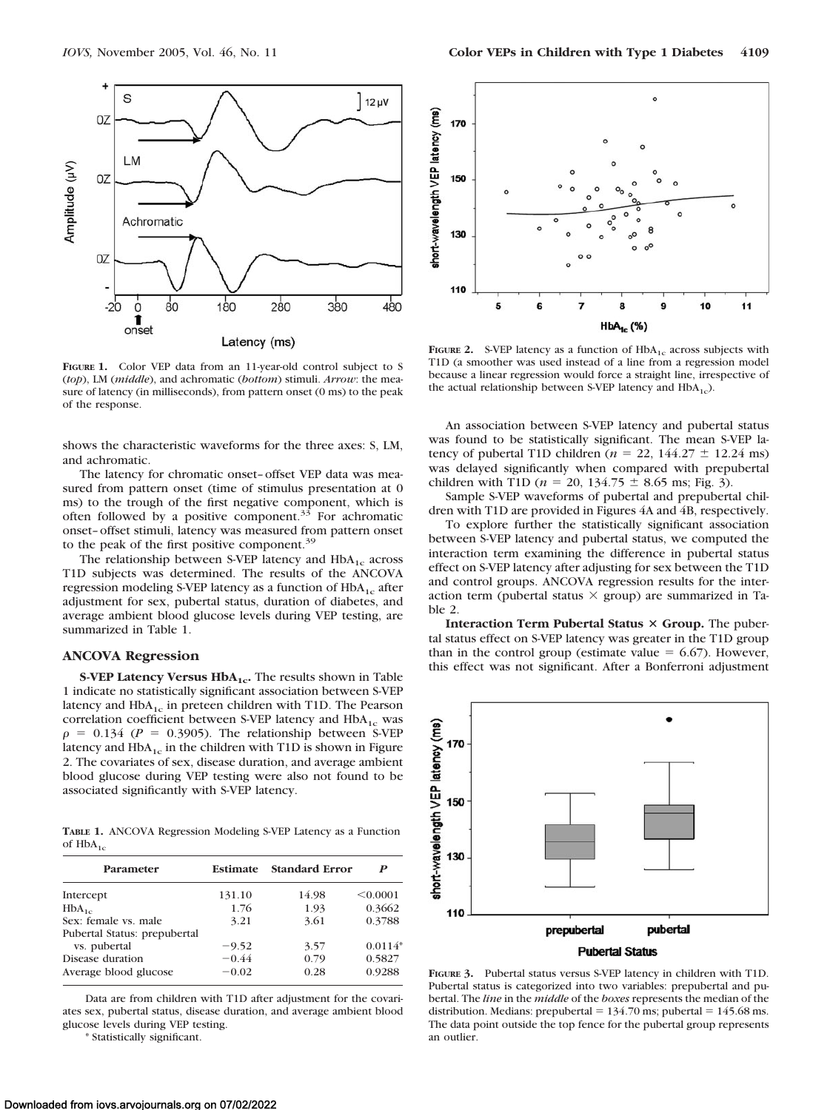

**FIGURE 1.** Color VEP data from an 11-year-old control subject to S (*top*), LM (*middle*), and achromatic (*bottom*) stimuli. *Arrow*: the measure of latency (in milliseconds), from pattern onset (0 ms) to the peak of the response.

shows the characteristic waveforms for the three axes: S, LM, and achromatic.

The latency for chromatic onset–offset VEP data was measured from pattern onset (time of stimulus presentation at 0 ms) to the trough of the first negative component, which is often followed by a positive component.<sup>35</sup> For achromatic onset–offset stimuli, latency was measured from pattern onset to the peak of the first positive component.<sup>39</sup>

The relationship between S-VEP latency and  $HbA_{1c}$  across T1D subjects was determined. The results of the ANCOVA regression modeling S-VEP latency as a function of  $HbA_{1c}$  after adjustment for sex, pubertal status, duration of diabetes, and average ambient blood glucose levels during VEP testing, are summarized in Table 1.

#### **ANCOVA Regression**

**S-VEP Latency Versus HbA<sub>1c</sub>.** The results shown in Table 1 indicate no statistically significant association between S-VEP latency and  $HbA_{1c}$  in preteen children with T1D. The Pearson correlation coefficient between S-VEP latency and  $HbA_{1c}$  was  $\rho = 0.134$  ( $P = 0.3905$ ). The relationship between S-VEP latency and  $HbA_{1c}$  in the children with T1D is shown in Figure 2. The covariates of sex, disease duration, and average ambient blood glucose during VEP testing were also not found to be associated significantly with S-VEP latency.

**TABLE 1.** ANCOVA Regression Modeling S-VEP Latency as a Function of  $HbA_{1c}$ 

| Parameter                    | <b>Estimate</b> | <b>Standard Error</b> | P         |
|------------------------------|-----------------|-----------------------|-----------|
| Intercept                    | 131.10          | 14.98                 | < 0.0001  |
| $HbA_{1c}$                   | 1.76            | 1.93                  | 0.3662    |
| Sex: female vs. male         | 3.21            | 3.61                  | 0.3788    |
| Pubertal Status: prepubertal |                 |                       |           |
| vs. pubertal                 | $-9.52$         | 3.57                  | $0.0114*$ |
| Disease duration             | $-0.44$         | 0.79                  | 0.5827    |
| Average blood glucose        | $-0.02$         | 0.28                  | 0.9288    |

Data are from children with T1D after adjustment for the covariates sex, pubertal status, disease duration, and average ambient blood glucose levels during VEP testing.

\* Statistically significant.



**FIGURE 2.** S-VEP latency as a function of  $HbA_{1c}$  across subjects with T1D (a smoother was used instead of a line from a regression model because a linear regression would force a straight line, irrespective of the actual relationship between S-VEP latency and  $HbA_{1c}$ ).

An association between S-VEP latency and pubertal status was found to be statistically significant. The mean S-VEP latency of pubertal T1D children ( $n = 22$ , 144.27  $\pm$  12.24 ms) was delayed significantly when compared with prepubertal children with T1D ( $n = 20, 134.75 \pm 8.65$  ms; Fig. 3).

Sample S-VEP waveforms of pubertal and prepubertal children with T1D are provided in Figures 4A and 4B, respectively.

To explore further the statistically significant association between S-VEP latency and pubertal status, we computed the interaction term examining the difference in pubertal status effect on S-VEP latency after adjusting for sex between the T1D and control groups. ANCOVA regression results for the interaction term (pubertal status  $\times$  group) are summarized in Table 2.

**Interaction Term Pubertal Status × Group.** The pubertal status effect on S-VEP latency was greater in the T1D group than in the control group (estimate value  $= 6.67$ ). However, this effect was not significant. After a Bonferroni adjustment



**FIGURE 3.** Pubertal status versus S-VEP latency in children with T1D. Pubertal status is categorized into two variables: prepubertal and pubertal. The *line* in the *middle* of the *boxes* represents the median of the distribution. Medians: prepubertal  $= 134.70$  ms; pubertal  $= 145.68$  ms. The data point outside the top fence for the pubertal group represents an outlier.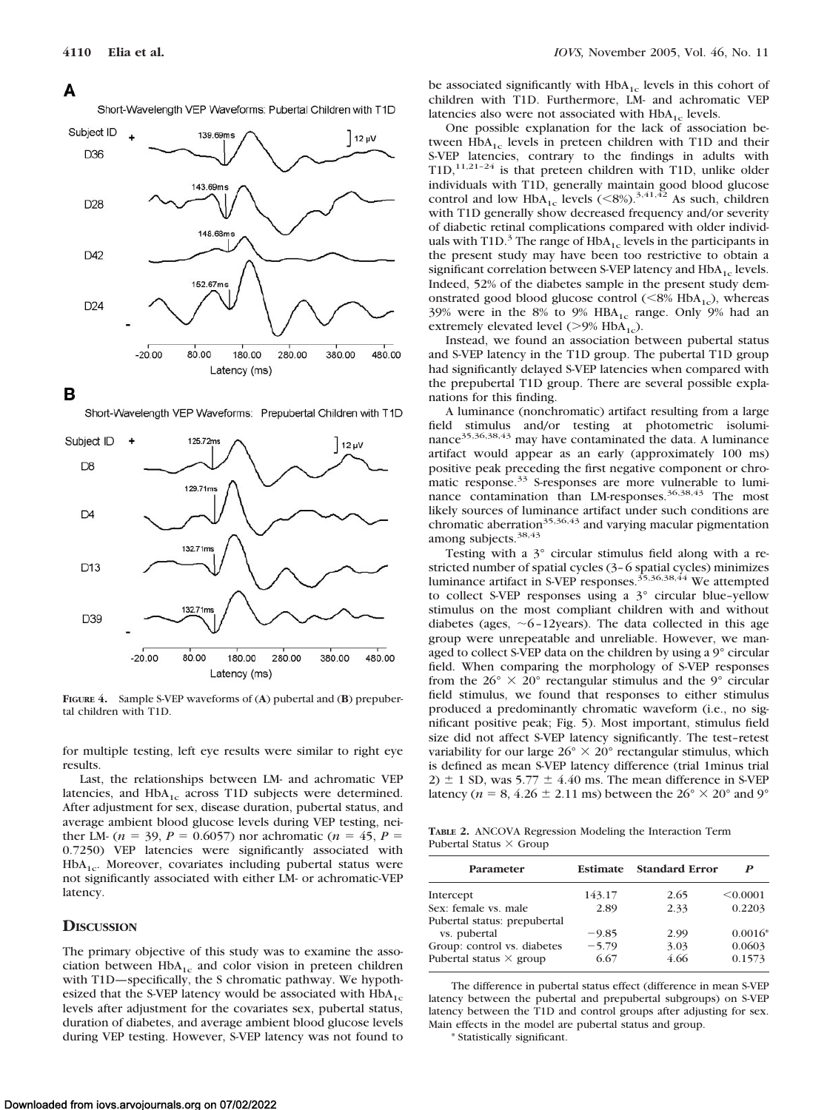# A

Short-Wavelength VEP Waveforms: Pubertal Children with T1D



в

Short-Wavelength VEP Waveforms: Prepubertal Children with T1D



**FIGURE 4.** Sample S-VEP waveforms of (**A**) pubertal and (**B**) prepubertal children with T1D.

for multiple testing, left eye results were similar to right eye results.

Last, the relationships between LM- and achromatic VEP latencies, and  $HbA_{1c}$  across T1D subjects were determined. After adjustment for sex, disease duration, pubertal status, and average ambient blood glucose levels during VEP testing, neither LM- ( $n = 39$ ,  $P = 0.6057$ ) nor achromatic ( $n = 45$ ,  $P =$ 0.7250) VEP latencies were significantly associated with  $HbA<sub>1c</sub>$ . Moreover, covariates including pubertal status were not significantly associated with either LM- or achromatic-VEP latency.

# **DISCUSSION**

The primary objective of this study was to examine the association between  $HbA_{1c}$  and color vision in preteen children with T1D—specifically, the S chromatic pathway. We hypothesized that the S-VEP latency would be associated with  $HbA_{1c}$ levels after adjustment for the covariates sex, pubertal status, duration of diabetes, and average ambient blood glucose levels during VEP testing. However, S-VEP latency was not found to be associated significantly with  $HbA_{1c}$  levels in this cohort of children with T1D. Furthermore, LM- and achromatic VEP latencies also were not associated with  $HbA_{1c}$  levels.

One possible explanation for the lack of association between  $HbA_{1c}$  levels in preteen children with T1D and their S-VEP latencies, contrary to the findings in adults with  $T1D$ ,<sup>11,21–24</sup> is that preteen children with T1D, unlike older individuals with T1D, generally maintain good blood glucose control and low  $HbA_{1c}$  levels  $(<8\%)$ .<sup>3,41,42</sup> As such, children with T1D generally show decreased frequency and/or severity of diabetic retinal complications compared with older individuals with T1D. $3$  The range of HbA<sub>1c</sub> levels in the participants in the present study may have been too restrictive to obtain a significant correlation between S-VEP latency and  $HbA_{1c}$  levels. Indeed, 52% of the diabetes sample in the present study demonstrated good blood glucose control  $(<8\%$  HbA<sub>1c</sub>), whereas 39% were in the 8% to 9%  $HBA_{1c}$  range. Only 9% had an extremely elevated level  $(>9\%$  HbA<sub>1c</sub>).

Instead, we found an association between pubertal status and S-VEP latency in the T1D group. The pubertal T1D group had significantly delayed S-VEP latencies when compared with the prepubertal T1D group. There are several possible explanations for this finding.

A luminance (nonchromatic) artifact resulting from a large field stimulus and/or testing at photometric isoluminance<sup>35,36,38,43</sup> may have contaminated the data. A luminance artifact would appear as an early (approximately 100 ms) positive peak preceding the first negative component or chromatic response.<sup>33</sup> S-responses are more vulnerable to luminance contamination than LM-responses.<sup>36,38,43</sup> The most likely sources of luminance artifact under such conditions are chromatic aberration<sup>35,36,43</sup> and varying macular pigmentation among subjects.<sup>38,43</sup>

Testing with a 3° circular stimulus field along with a restricted number of spatial cycles (3–6 spatial cycles) minimizes luminance artifact in S-VEP responses.<sup>35,36,38,44</sup> We attempted to collect S-VEP responses using a 3° circular blue–yellow stimulus on the most compliant children with and without diabetes (ages,  $\sim$  6–12years). The data collected in this age group were unrepeatable and unreliable. However, we managed to collect S-VEP data on the children by using a 9° circular field. When comparing the morphology of S-VEP responses from the  $26^{\circ} \times 20^{\circ}$  rectangular stimulus and the 9° circular field stimulus, we found that responses to either stimulus produced a predominantly chromatic waveform (i.e., no significant positive peak; Fig. 5). Most important, stimulus field size did not affect S-VEP latency significantly. The test–retest variability for our large  $26^{\circ} \times 20^{\circ}$  rectangular stimulus, which is defined as mean S-VEP latency difference (trial 1minus trial  $2) \pm 1$  SD, was 5.77  $\pm 4.40$  ms. The mean difference in S-VEP latency ( $n = 8, 4.26 \pm 2.11$  ms) between the  $26^{\circ} \times 20^{\circ}$  and  $9^{\circ}$ 

**TABLE 2.** ANCOVA Regression Modeling the Interaction Term Pubertal Status  $\times$  Group

| Parameter                                                     | <b>Estimate</b> | <b>Standard Error</b> | P                |
|---------------------------------------------------------------|-----------------|-----------------------|------------------|
| Intercept                                                     | 143.17          | 2.65                  | < 0.0001         |
| Sex: female vs. male                                          | 2.89            | 2.33                  | 0.2203           |
| Pubertal status: prepubertal<br>vs. pubertal                  | $-9.85$         | 2.99                  | $0.0016*$        |
| Group: control vs. diabetes<br>Pubertal status $\times$ group | $-5.79$<br>6.67 | 3.03<br>4.66          | 0.0603<br>0.1573 |
|                                                               |                 |                       |                  |

The difference in pubertal status effect (difference in mean S-VEP latency between the pubertal and prepubertal subgroups) on S-VEP latency between the T1D and control groups after adjusting for sex. Main effects in the model are pubertal status and group.

\* Statistically significant.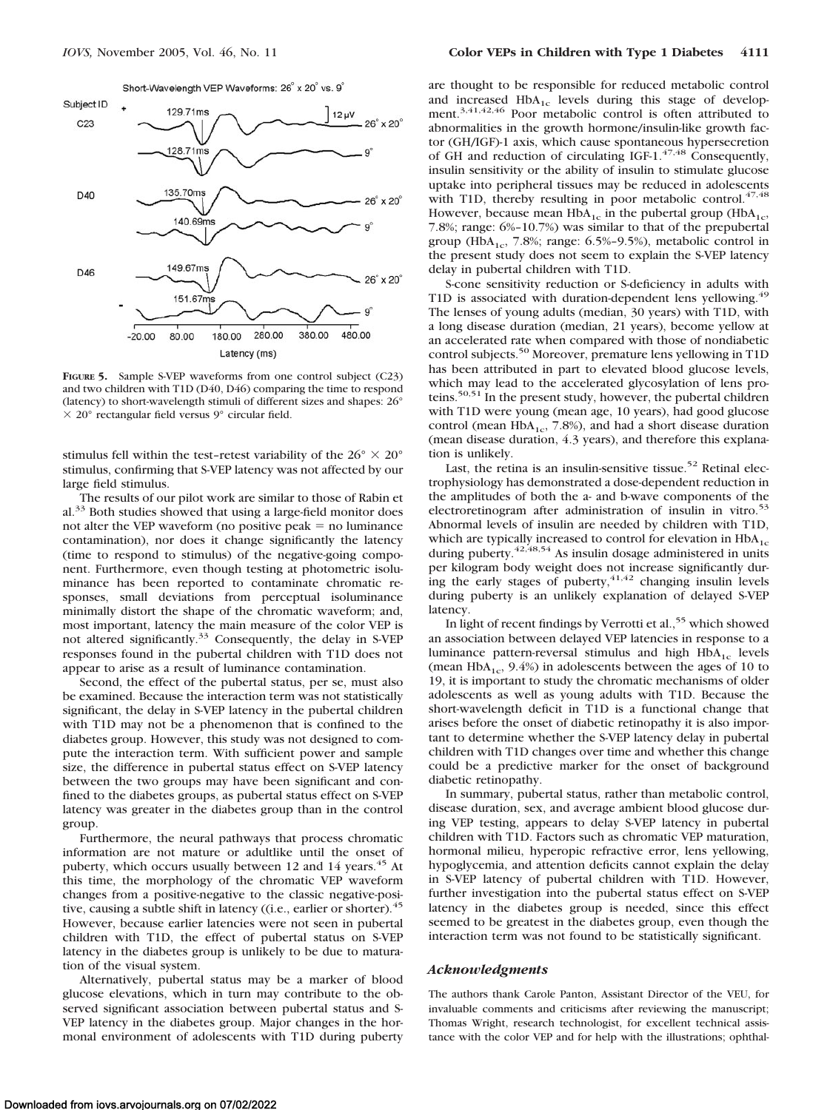

**FIGURE 5.** Sample S-VEP waveforms from one control subject (C23) and two children with T1D (D40, D46) comparing the time to respond (latency) to short-wavelength stimuli of different sizes and shapes: 26°  $\times$  20 $^{\circ}$  rectangular field versus 9 $^{\circ}$  circular field.

stimulus fell within the test-retest variability of the  $26^{\circ} \times 20^{\circ}$ stimulus, confirming that S-VEP latency was not affected by our large field stimulus.

The results of our pilot work are similar to those of Rabin et al.33 Both studies showed that using a large-field monitor does not alter the VEP waveform (no positive peak  $=$  no luminance contamination), nor does it change significantly the latency (time to respond to stimulus) of the negative-going component. Furthermore, even though testing at photometric isoluminance has been reported to contaminate chromatic responses, small deviations from perceptual isoluminance minimally distort the shape of the chromatic waveform; and, most important, latency the main measure of the color VEP is not altered significantly.<sup>33</sup> Consequently, the delay in S-VEP responses found in the pubertal children with T1D does not appear to arise as a result of luminance contamination.

Second, the effect of the pubertal status, per se, must also be examined. Because the interaction term was not statistically significant, the delay in S-VEP latency in the pubertal children with T1D may not be a phenomenon that is confined to the diabetes group. However, this study was not designed to compute the interaction term. With sufficient power and sample size, the difference in pubertal status effect on S-VEP latency between the two groups may have been significant and confined to the diabetes groups, as pubertal status effect on S-VEP latency was greater in the diabetes group than in the control group.

Furthermore, the neural pathways that process chromatic information are not mature or adultlike until the onset of puberty, which occurs usually between 12 and 14 years.<sup>45</sup> At this time, the morphology of the chromatic VEP waveform changes from a positive-negative to the classic negative-positive, causing a subtle shift in latency ((i.e., earlier or shorter).<sup>45</sup> However, because earlier latencies were not seen in pubertal children with T1D, the effect of pubertal status on S-VEP latency in the diabetes group is unlikely to be due to maturation of the visual system.

Alternatively, pubertal status may be a marker of blood glucose elevations, which in turn may contribute to the observed significant association between pubertal status and S-VEP latency in the diabetes group. Major changes in the hormonal environment of adolescents with T1D during puberty

are thought to be responsible for reduced metabolic control and increased  $HbA_{1c}$  levels during this stage of development.<sup>3,41,42,46</sup> Poor metabolic control is often attributed to abnormalities in the growth hormone/insulin-like growth factor (GH/IGF)-1 axis, which cause spontaneous hypersecretion of GH and reduction of circulating IGF-1. $47,48$  Consequently, insulin sensitivity or the ability of insulin to stimulate glucose uptake into peripheral tissues may be reduced in adolescents with T1D, thereby resulting in poor metabolic control.<sup>47,48</sup> However, because mean  $HbA_{1c}$  in the pubertal group ( $HbA_{1c}$ , 7.8%; range: 6%–10.7%) was similar to that of the prepubertal group (HbA<sub>1c</sub>, 7.8%; range: 6.5%-9.5%), metabolic control in the present study does not seem to explain the S-VEP latency delay in pubertal children with T1D.

S-cone sensitivity reduction or S-deficiency in adults with T1D is associated with duration-dependent lens yellowing.<sup>49</sup> The lenses of young adults (median, 30 years) with T1D, with a long disease duration (median, 21 years), become yellow at an accelerated rate when compared with those of nondiabetic control subjects.<sup>50</sup> Moreover, premature lens yellowing in T1D has been attributed in part to elevated blood glucose levels, which may lead to the accelerated glycosylation of lens proteins.<sup>50,51</sup> In the present study, however, the pubertal children with T1D were young (mean age, 10 years), had good glucose control (mean  $HbA_{1c}$ , 7.8%), and had a short disease duration (mean disease duration, 4.3 years), and therefore this explanation is unlikely.

Last, the retina is an insulin-sensitive tissue.<sup>52</sup> Retinal electrophysiology has demonstrated a dose-dependent reduction in the amplitudes of both the a- and b-wave components of the electroretinogram after administration of insulin in vitro.<sup>53</sup> Abnormal levels of insulin are needed by children with T1D, which are typically increased to control for elevation in  $HbA_{1c}$ during puberty.<sup>42,48,54</sup> As insulin dosage administered in units per kilogram body weight does not increase significantly during the early stages of puberty,  $41,42$  changing insulin levels during puberty is an unlikely explanation of delayed S-VEP latency.

In light of recent findings by Verrotti et al.,<sup>55</sup> which showed an association between delayed VEP latencies in response to a luminance pattern-reversal stimulus and high  $HbA_{1c}$  levels (mean  $HbA_{1c}$ , 9.4%) in adolescents between the ages of 10 to 19, it is important to study the chromatic mechanisms of older adolescents as well as young adults with T1D. Because the short-wavelength deficit in T1D is a functional change that arises before the onset of diabetic retinopathy it is also important to determine whether the S-VEP latency delay in pubertal children with T1D changes over time and whether this change could be a predictive marker for the onset of background diabetic retinopathy.

In summary, pubertal status, rather than metabolic control, disease duration, sex, and average ambient blood glucose during VEP testing, appears to delay S-VEP latency in pubertal children with T1D. Factors such as chromatic VEP maturation, hormonal milieu, hyperopic refractive error, lens yellowing, hypoglycemia, and attention deficits cannot explain the delay in S-VEP latency of pubertal children with T1D. However, further investigation into the pubertal status effect on S-VEP latency in the diabetes group is needed, since this effect seemed to be greatest in the diabetes group, even though the interaction term was not found to be statistically significant.

# *Acknowledgments*

The authors thank Carole Panton, Assistant Director of the VEU, for invaluable comments and criticisms after reviewing the manuscript; Thomas Wright, research technologist, for excellent technical assistance with the color VEP and for help with the illustrations; ophthal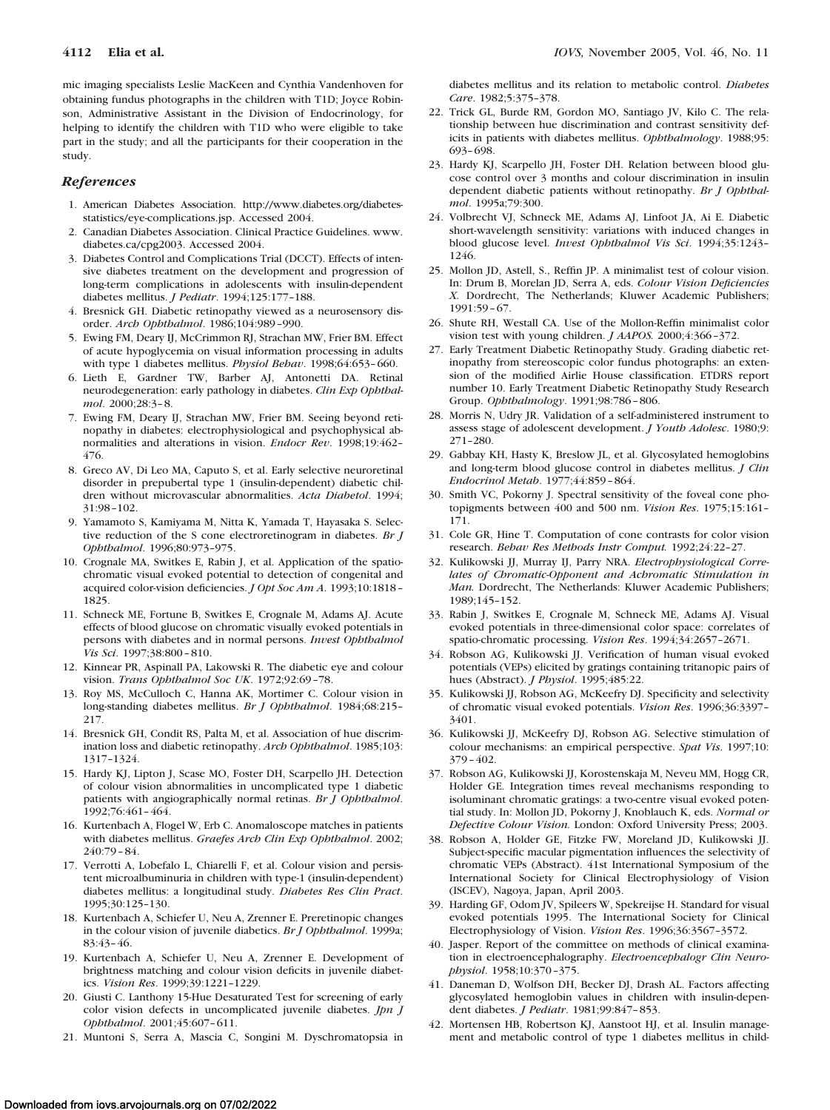mic imaging specialists Leslie MacKeen and Cynthia Vandenhoven for obtaining fundus photographs in the children with T1D; Joyce Robinson, Administrative Assistant in the Division of Endocrinology, for helping to identify the children with T1D who were eligible to take part in the study; and all the participants for their cooperation in the study.

#### *References*

- 1. American Diabetes Association. http://www.diabetes.org/diabetesstatistics/eye-complications.jsp. Accessed 2004.
- 2. Canadian Diabetes Association. Clinical Practice Guidelines. www. diabetes.ca/cpg2003. Accessed 2004.
- 3. Diabetes Control and Complications Trial (DCCT). Effects of intensive diabetes treatment on the development and progression of long-term complications in adolescents with insulin-dependent diabetes mellitus. *J Pediatr*. 1994;125:177–188.
- 4. Bresnick GH. Diabetic retinopathy viewed as a neurosensory disorder. *Arch Ophthalmol*. 1986;104:989–990.
- 5. Ewing FM, Deary IJ, McCrimmon RJ, Strachan MW, Frier BM. Effect of acute hypoglycemia on visual information processing in adults with type 1 diabetes mellitus. *Physiol Behav*. 1998;64:653–660.
- 6. Lieth E, Gardner TW, Barber AJ, Antonetti DA. Retinal neurodegeneration: early pathology in diabetes. *Clin Exp Ophthalmol*. 2000;28:3–8.
- 7. Ewing FM, Deary IJ, Strachan MW, Frier BM. Seeing beyond retinopathy in diabetes: electrophysiological and psychophysical abnormalities and alterations in vision. *Endocr Rev*. 1998;19:462– 476.
- 8. Greco AV, Di Leo MA, Caputo S, et al. Early selective neuroretinal disorder in prepubertal type 1 (insulin-dependent) diabetic children without microvascular abnormalities. *Acta Diabetol*. 1994; 31:98–102.
- 9. Yamamoto S, Kamiyama M, Nitta K, Yamada T, Hayasaka S. Selective reduction of the S cone electroretinogram in diabetes. *Br J Ophthalmol*. 1996;80:973–975.
- 10. Crognale MA, Switkes E, Rabin J, et al. Application of the spatiochromatic visual evoked potential to detection of congenital and acquired color-vision deficiencies. *J Opt Soc Am A*. 1993;10:1818– 1825.
- 11. Schneck ME, Fortune B, Switkes E, Crognale M, Adams AJ. Acute effects of blood glucose on chromatic visually evoked potentials in persons with diabetes and in normal persons. *Invest Ophthalmol Vis Sci*. 1997;38:800–810.
- 12. Kinnear PR, Aspinall PA, Lakowski R. The diabetic eye and colour vision. *Trans Ophthalmol Soc UK*. 1972;92:69–78.
- 13. Roy MS, McCulloch C, Hanna AK, Mortimer C. Colour vision in long-standing diabetes mellitus. *Br J Ophthalmol*. 1984;68:215– 217.
- 14. Bresnick GH, Condit RS, Palta M, et al. Association of hue discrimination loss and diabetic retinopathy. *Arch Ophthalmol*. 1985;103: 1317–1324.
- 15. Hardy KJ, Lipton J, Scase MO, Foster DH, Scarpello JH. Detection of colour vision abnormalities in uncomplicated type 1 diabetic patients with angiographically normal retinas. *Br J Ophthalmol*. 1992;76:461–464.
- 16. Kurtenbach A, Flogel W, Erb C. Anomaloscope matches in patients with diabetes mellitus. *Graefes Arch Clin Exp Ophthalmol*. 2002; 240:79–84.
- 17. Verrotti A, Lobefalo L, Chiarelli F, et al. Colour vision and persistent microalbuminuria in children with type-1 (insulin-dependent) diabetes mellitus: a longitudinal study. *Diabetes Res Clin Pract*. 1995;30:125–130.
- 18. Kurtenbach A, Schiefer U, Neu A, Zrenner E. Preretinopic changes in the colour vision of juvenile diabetics. *Br J Ophthalmol*. 1999a; 83:43–46.
- 19. Kurtenbach A, Schiefer U, Neu A, Zrenner E. Development of brightness matching and colour vision deficits in juvenile diabetics. *Vision Res*. 1999;39:1221–1229.
- 20. Giusti C. Lanthony 15-Hue Desaturated Test for screening of early color vision defects in uncomplicated juvenile diabetes. *Jpn J Ophthalmol*. 2001;45:607–611.
- 21. Muntoni S, Serra A, Mascia C, Songini M. Dyschromatopsia in

diabetes mellitus and its relation to metabolic control. *Diabetes Care*. 1982;5:375–378.

- 22. Trick GL, Burde RM, Gordon MO, Santiago JV, Kilo C. The relationship between hue discrimination and contrast sensitivity deficits in patients with diabetes mellitus. *Ophthalmology*. 1988;95: 693–698.
- 23. Hardy KJ, Scarpello JH, Foster DH. Relation between blood glucose control over 3 months and colour discrimination in insulin dependent diabetic patients without retinopathy. *Br J Ophthalmol*. 1995a;79:300.
- 24. Volbrecht VJ, Schneck ME, Adams AJ, Linfoot JA, Ai E. Diabetic short-wavelength sensitivity: variations with induced changes in blood glucose level. *Invest Ophthalmol Vis Sci*. 1994;35:1243– 1246.
- 25. Mollon JD, Astell, S., Reffin JP. A minimalist test of colour vision. In: Drum B, Morelan JD, Serra A, eds. *Colour Vision Deficiencies X.* Dordrecht, The Netherlands; Kluwer Academic Publishers; 1991:59–67.
- 26. Shute RH, Westall CA. Use of the Mollon-Reffin minimalist color vision test with young children. *J AAPOS.* 2000;4:366–372.
- 27. Early Treatment Diabetic Retinopathy Study. Grading diabetic retinopathy from stereoscopic color fundus photographs: an extension of the modified Airlie House classification. ETDRS report number 10. Early Treatment Diabetic Retinopathy Study Research Group. *Ophthalmology*. 1991;98:786–806.
- 28. Morris N, Udry JR. Validation of a self-administered instrument to assess stage of adolescent development. *J Youth Adolesc*. 1980;9: 271–280.
- 29. Gabbay KH, Hasty K, Breslow JL, et al. Glycosylated hemoglobins and long-term blood glucose control in diabetes mellitus. *J Clin Endocrinol Metab*. 1977;44:859–864.
- 30. Smith VC, Pokorny J. Spectral sensitivity of the foveal cone photopigments between 400 and 500 nm. *Vision Res*. 1975;15:161– 171.
- 31. Cole GR, Hine T. Computation of cone contrasts for color vision research. *Behav Res Methods Instr Comput.* 1992;24:22–27.
- 32. Kulikowski JJ, Murray IJ, Parry NRA. *Electrophysiological Correlates of Chromatic-Opponent and Achromatic Stimulation in Man.* Dordrecht, The Netherlands: Kluwer Academic Publishers; 1989;145–152.
- 33. Rabin J, Switkes E, Crognale M, Schneck ME, Adams AJ. Visual evoked potentials in three-dimensional color space: correlates of spatio-chromatic processing. *Vision Res*. 1994;34:2657–2671.
- 34. Robson AG, Kulikowski JJ. Verification of human visual evoked potentials (VEPs) elicited by gratings containing tritanopic pairs of hues (Abstract). *J Physiol*. 1995;485:22.
- 35. Kulikowski JJ, Robson AG, McKeefry DJ. Specificity and selectivity of chromatic visual evoked potentials. *Vision Res*. 1996;36:3397– 3401.
- 36. Kulikowski JJ, McKeefry DJ, Robson AG. Selective stimulation of colour mechanisms: an empirical perspective. *Spat Vis*. 1997;10: 379–402.
- 37. Robson AG, Kulikowski JJ, Korostenskaja M, Neveu MM, Hogg CR, Holder GE. Integration times reveal mechanisms responding to isoluminant chromatic gratings: a two-centre visual evoked potential study. In: Mollon JD, Pokorny J, Knoblauch K, eds. *Normal or Defective Colour Vision.* London: Oxford University Press; 2003.
- 38. Robson A, Holder GE, Fitzke FW, Moreland JD, Kulikowski JJ. Subject-specific macular pigmentation influences the selectivity of chromatic VEPs (Abstract). 41st International Symposium of the International Society for Clinical Electrophysiology of Vision (ISCEV), Nagoya, Japan, April 2003.
- 39. Harding GF, Odom JV, Spileers W, Spekreijse H. Standard for visual evoked potentials 1995. The International Society for Clinical Electrophysiology of Vision. *Vision Res*. 1996;36:3567–3572.
- 40. Jasper. Report of the committee on methods of clinical examination in electroencephalography. *Electroencephalogr Clin Neurophysiol*. 1958;10:370–375.
- 41. Daneman D, Wolfson DH, Becker DJ, Drash AL. Factors affecting glycosylated hemoglobin values in children with insulin-dependent diabetes. *J Pediatr*. 1981;99:847–853.
- 42. Mortensen HB, Robertson KJ, Aanstoot HJ, et al. Insulin management and metabolic control of type 1 diabetes mellitus in child-